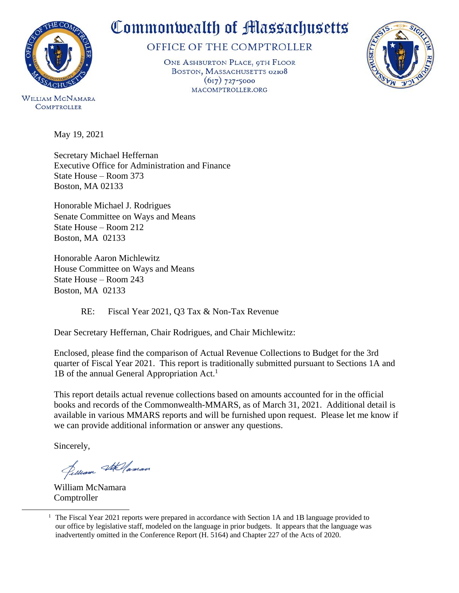

WILLIAM MCNAMARA **COMPTROLLER** 

# Commonwealth of Massachusetts

# OFFICE OF THE COMPTROLLER

ONE ASHBURTON PLACE, 9TH FLOOR BOSTON, MASSACHUSETTS 02108  $(617)$  727-5000 MACOMPTROLLER.ORG



May 19, 2021

Secretary Michael Heffernan Executive Office for Administration and Finance State House – Room 373 Boston, MA 02133

Honorable Michael J. Rodrigues Senate Committee on Ways and Means State House – Room 212 Boston, MA 02133

Honorable Aaron Michlewitz House Committee on Ways and Means State House – Room 243 Boston, MA 02133

RE: Fiscal Year 2021, Q3 Tax & Non-Tax Revenue

Dear Secretary Heffernan, Chair Rodrigues, and Chair Michlewitz:

Enclosed, please find the comparison of Actual Revenue Collections to Budget for the 3rd quarter of Fiscal Year 2021. This report is traditionally submitted pursuant to Sections 1A and 1B of the annual General Appropriation  $Act.$ <sup>1</sup>

This report details actual revenue collections based on amounts accounted for in the official books and records of the Commonwealth-MMARS, as of March 31, 2021. Additional detail is available in various MMARS reports and will be furnished upon request. Please let me know if we can provide additional information or answer any questions.

Sincerely,

l

Pelliam Stellaman

William McNamara Comptroller

<sup>&</sup>lt;sup>1</sup> The Fiscal Year 2021 reports were prepared in accordance with Section 1A and 1B language provided to our office by legislative staff, modeled on the language in prior budgets. It appears that the language was inadvertently omitted in the Conference Report (H. 5164) and Chapter 227 of the Acts of 2020.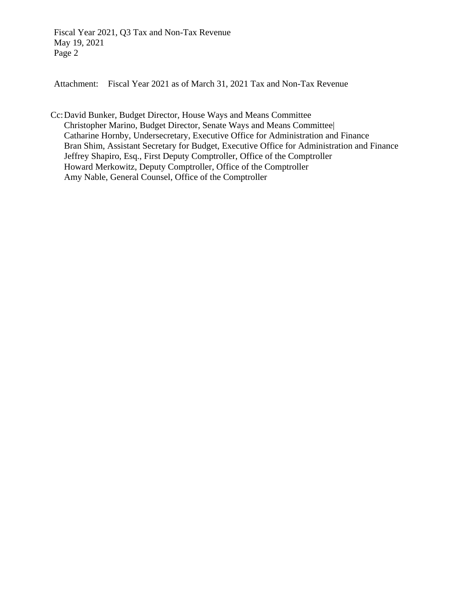Fiscal Year 2021, Q3 Tax and Non-Tax Revenue May 19, 2021 Page 2

Attachment: Fiscal Year 2021 as of March 31, 2021 Tax and Non-Tax Revenue

Cc:David Bunker, Budget Director, House Ways and Means Committee Christopher Marino, Budget Director, Senate Ways and Means Committee| Catharine Hornby, Undersecretary, Executive Office for Administration and Finance Bran Shim, Assistant Secretary for Budget, Executive Office for Administration and Finance Jeffrey Shapiro, Esq., First Deputy Comptroller, Office of the Comptroller Howard Merkowitz, Deputy Comptroller, Office of the Comptroller Amy Nable, General Counsel, Office of the Comptroller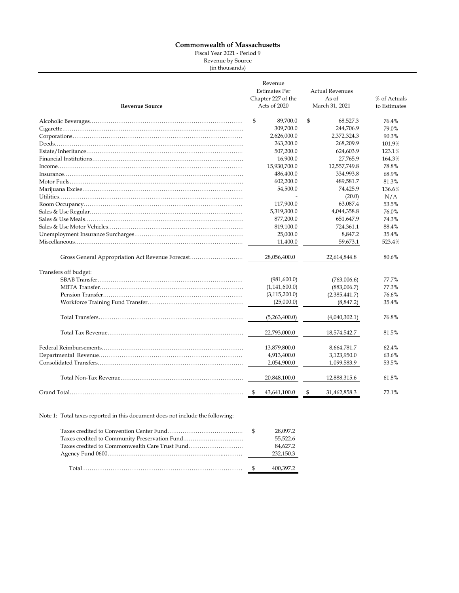#### **Commonwealth of Massachusetts**

Fiscal Year 2021 - Period 9

Revenue by Source (in thousands)

| <b>Revenue Source</b>                            | Revenue<br><b>Estimates Per</b><br>Chapter 227 of the<br>Acts of 2020 | <b>Actual Revenues</b><br>As of<br>March 31, 2021 | % of Actuals<br>to Estimates |
|--------------------------------------------------|-----------------------------------------------------------------------|---------------------------------------------------|------------------------------|
|                                                  | \$<br>89,700.0                                                        | \$<br>68,527.3                                    | 76.4%                        |
|                                                  | 309,700.0                                                             | 244,706.9                                         | 79.0%                        |
|                                                  | 2,626,000.0                                                           | 2,372,324.3                                       | 90.3%                        |
|                                                  | 263,200.0                                                             | 268,209.9                                         | 101.9%                       |
|                                                  | 507,200.0                                                             | 624,603.9                                         | 123.1%                       |
|                                                  | 16,900.0                                                              | 27,765.9                                          | 164.3%                       |
|                                                  | 15,930,700.0                                                          | 12,557,749.8                                      | 78.8%                        |
|                                                  | 486,400.0                                                             | 334,993.8                                         | 68.9%                        |
|                                                  | 602,200.0                                                             | 489,581.7                                         | 81.3%                        |
|                                                  | 54,500.0                                                              | 74,425.9                                          | 136.6%                       |
|                                                  |                                                                       | (20.0)                                            | N/A                          |
|                                                  | 117,900.0                                                             | 63,087.4                                          | 53.5%                        |
|                                                  | 5,319,300.0                                                           | 4,044,358.8                                       | 76.0%                        |
|                                                  | 877,200.0                                                             | 651,647.9                                         | 74.3%                        |
|                                                  | 819,100.0                                                             | 724,361.1                                         | 88.4%                        |
|                                                  | 25,000.0                                                              | 8,847.2                                           | 35.4%                        |
|                                                  | 11,400.0                                                              | 59,673.1                                          | 523.4%                       |
|                                                  |                                                                       |                                                   |                              |
| Gross General Appropriation Act Revenue Forecast | 28,056,400.0                                                          | 22,614,844.8                                      | 80.6%                        |
| Transfers off budget:                            |                                                                       |                                                   |                              |
|                                                  | (981,600.0)                                                           | (763,006.6)                                       | 77.7%                        |
|                                                  | (1,141,600.0)                                                         | (883,006.7)                                       | 77.3%                        |
|                                                  | (3, 115, 200.0)                                                       | (2,385,441.7)                                     | 76.6%                        |
|                                                  | (25,000.0)                                                            | (8,847.2)                                         | 35.4%                        |
|                                                  |                                                                       |                                                   |                              |
|                                                  | (5,263,400.0)                                                         | (4,040,302.1)                                     | 76.8%                        |
|                                                  | 22,793,000.0                                                          | 18,574,542.7                                      | 81.5%                        |
|                                                  | 13,879,800.0                                                          | 8,664,781.7                                       | 62.4%                        |
|                                                  | 4,913,400.0                                                           | 3,123,950.0                                       | 63.6%                        |
|                                                  | 2,054,900.0                                                           | 1,099,583.9                                       | 53.5%                        |
|                                                  |                                                                       |                                                   |                              |
|                                                  | 20,848,100.0                                                          | 12,888,315.6                                      | 61.8%                        |
|                                                  | 43,641,100.0                                                          | \$<br>31,462,858.3                                | 72.1%                        |

Note 1: Total taxes reported in this document does not include the following:

| Total                                          | 400,397.2 |
|------------------------------------------------|-----------|
|                                                |           |
|                                                | 232,150.3 |
| Taxes credited to Commonwealth Care Trust Fund | 84,627.2  |
|                                                | 55,522.6  |
|                                                | 28,097.2  |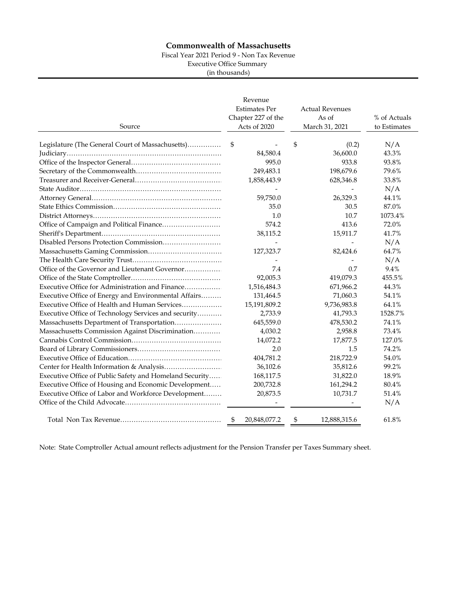### **Commonwealth of Massachusetts**

Fiscal Year 2021 Period 9 - Non Tax Revenue

Executive Office Summary

(in thousands)

| Source                                                  | Revenue<br><b>Estimates Per</b><br>Chapter 227 of the<br>Acts of 2020 | <b>Actual Revenues</b><br>As of<br>March 31, 2021 | % of Actuals<br>to Estimates |
|---------------------------------------------------------|-----------------------------------------------------------------------|---------------------------------------------------|------------------------------|
| Legislature (The General Court of Massachusetts)        | \$                                                                    | \$<br>(0.2)                                       | N/A                          |
|                                                         | 84,580.4                                                              | 36,600.0                                          | 43.3%                        |
|                                                         | 995.0                                                                 | 933.8                                             | 93.8%                        |
|                                                         | 249,483.1                                                             | 198,679.6                                         | 79.6%                        |
|                                                         | 1,858,443.9                                                           | 628,346.8                                         | 33.8%                        |
|                                                         |                                                                       |                                                   | N/A                          |
|                                                         | 59,750.0                                                              | 26,329.3                                          | 44.1%                        |
|                                                         | 35.0                                                                  | 30.5                                              | 87.0%                        |
|                                                         | 1.0                                                                   | 10.7                                              | 1073.4%                      |
|                                                         | 574.2                                                                 | 413.6                                             | 72.0%                        |
|                                                         | 38,115.2                                                              | 15,911.7                                          | 41.7%                        |
|                                                         |                                                                       |                                                   | N/A                          |
|                                                         | 127,323.7                                                             | 82,424.6                                          | 64.7%                        |
|                                                         |                                                                       |                                                   | N/A                          |
| Office of the Governor and Lieutenant Governor          | 7.4                                                                   | 0.7                                               | 9.4%                         |
|                                                         | 92,005.3                                                              | 419,079.3                                         | 455.5%                       |
| Executive Office for Administration and Finance         | 1,516,484.3                                                           | 671,966.2                                         | 44.3%                        |
| Executive Office of Energy and Environmental Affairs    | 131,464.5                                                             | 71,060.3                                          | 54.1%                        |
| Executive Office of Health and Human Services           | 15,191,809.2                                                          | 9,736,983.8                                       | 64.1%                        |
| Executive Office of Technology Services and security    | 2,733.9                                                               | 41,793.3                                          | 1528.7%                      |
| Massachusetts Department of Transportation              | 645,559.0                                                             | 478,530.2                                         | 74.1%                        |
| Massachusetts Commission Against Discrimination         | 4,030.2                                                               | 2,958.8                                           | 73.4%                        |
|                                                         | 14,072.2                                                              | 17,877.5                                          | 127.0%                       |
|                                                         | 2.0                                                                   | 1.5                                               | 74.2%                        |
|                                                         | 404,781.2                                                             | 218,722.9                                         | 54.0%                        |
|                                                         | 36,102.6                                                              | 35,812.6                                          | 99.2%                        |
| Executive Office of Public Safety and Homeland Security | 168,117.5                                                             | 31,822.0                                          | 18.9%                        |
| Executive Office of Housing and Economic Development    | 200,732.8                                                             | 161,294.2                                         | 80.4%                        |
| Executive Office of Labor and Workforce Development     | 20,873.5                                                              | 10,731.7                                          | 51.4%                        |
|                                                         |                                                                       |                                                   | N/A                          |
|                                                         | 20,848,077.2<br>\$                                                    | \$<br>12,888,315.6                                | 61.8%                        |

Note: State Comptroller Actual amount reflects adjustment for the Pension Transfer per Taxes Summary sheet.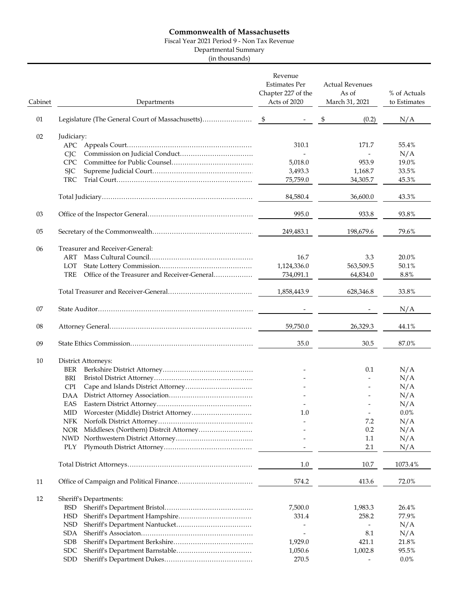## **Commonwealth of Massachusetts**

Fiscal Year 2021 Period 9 - Non Tax Revenue

Departmental Summary

(in thousands)

| Cabinet | Departments                                                | Revenue<br><b>Estimates Per</b><br>Chapter 227 of the<br>Acts of 2020 | <b>Actual Revenues</b><br>As of<br>March 31, 2021 | % of Actuals<br>to Estimates |
|---------|------------------------------------------------------------|-----------------------------------------------------------------------|---------------------------------------------------|------------------------------|
| 01      |                                                            |                                                                       | \$<br>(0.2)                                       | N/A                          |
| 02      | Judiciary:                                                 |                                                                       |                                                   |                              |
|         |                                                            | 310.1                                                                 | 171.7                                             | 55.4%                        |
|         | <b>CIC</b>                                                 |                                                                       |                                                   | N/A                          |
|         | <b>CPC</b>                                                 | 5,018.0                                                               | 953.9                                             | 19.0%                        |
|         | <b>SJC</b>                                                 | 3,493.3                                                               | 1,168.7                                           | 33.5%                        |
|         | TRC                                                        | 75,759.0                                                              | 34,305.7                                          | 45.3%                        |
|         |                                                            | 84,580.4                                                              | 36,600.0                                          | 43.3%                        |
|         |                                                            |                                                                       |                                                   |                              |
| 03      |                                                            | 995.0                                                                 | 933.8                                             | 93.8%                        |
| 05      |                                                            | 249,483.1                                                             | 198,679.6                                         | 79.6%                        |
|         |                                                            |                                                                       |                                                   |                              |
| 06      | Treasurer and Receiver-General:                            |                                                                       |                                                   |                              |
|         | ART                                                        | 16.7                                                                  | 3.3                                               | 20.0%                        |
|         | LOT                                                        | 1,124,336.0                                                           | 563,509.5                                         | 50.1%                        |
|         | <b>TRE</b><br>Office of the Treasurer and Receiver-General | 734,091.1                                                             | 64,834.0                                          | $8.8\%$                      |
|         |                                                            |                                                                       |                                                   |                              |
|         |                                                            | 1,858,443.9                                                           | 628,346.8                                         | 33.8%                        |
| 07      |                                                            |                                                                       |                                                   | N/A                          |
| 08      |                                                            | 59,750.0                                                              | 26,329.3                                          | 44.1%                        |
| 09      |                                                            | 35.0                                                                  | 30.5                                              | 87.0%                        |
|         |                                                            |                                                                       |                                                   |                              |
| 10      | District Attorneys:                                        |                                                                       |                                                   |                              |
|         | BER                                                        |                                                                       | 0.1                                               | N/A                          |
|         | BRI                                                        |                                                                       |                                                   | N/A                          |
|         | <b>CPI</b>                                                 |                                                                       |                                                   | N/A                          |
|         | <b>DAA</b>                                                 |                                                                       |                                                   | N/A                          |
|         | EAS                                                        |                                                                       |                                                   | N/A                          |
|         | MID.                                                       | 1.0                                                                   |                                                   | $0.0\%$                      |
|         | <b>NFK</b>                                                 |                                                                       | 7.2                                               | N/A                          |
|         | <b>NOR</b><br>Middlesex (Northern) Distrcit Attorney       |                                                                       | 0.2                                               | N/A                          |
|         | <b>NWD</b>                                                 |                                                                       | 1.1                                               | N/A                          |
|         | PLY                                                        |                                                                       | 2.1                                               | N/A                          |
|         |                                                            | $1.0\,$                                                               | 10.7                                              | 1073.4%                      |
| 11      |                                                            | 574.2                                                                 | 413.6                                             | 72.0%                        |
|         |                                                            |                                                                       |                                                   |                              |
| 12      | Sheriff's Departments:                                     |                                                                       |                                                   |                              |
|         | <b>BSD</b>                                                 | 7,500.0                                                               | 1,983.3                                           | 26.4%                        |
|         | <b>HSD</b>                                                 | 331.4                                                                 | 258.2                                             | 77.9%                        |
|         | <b>NSD</b>                                                 |                                                                       |                                                   | N/A                          |
|         | SDA                                                        | $\overline{a}$                                                        | 8.1                                               | N/A                          |
|         | <b>SDB</b>                                                 | 1,929.0                                                               | 421.1                                             | 21.8%                        |
|         | <b>SDC</b>                                                 | 1,050.6                                                               | 1,002.8                                           | 95.5%                        |
|         | <b>SDD</b>                                                 | 270.5                                                                 |                                                   | $0.0\%$                      |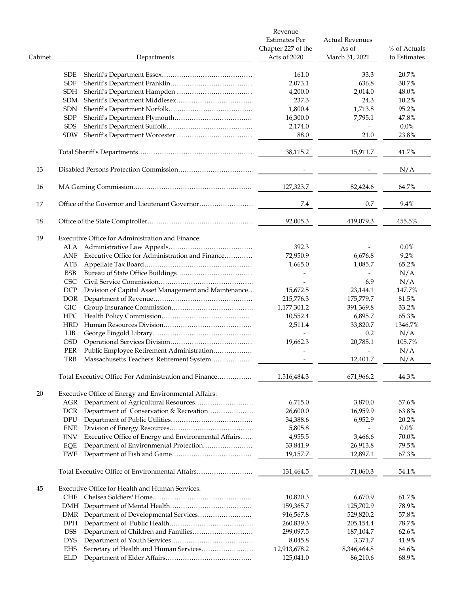|         |                                                                    | Revenue<br><b>Estimates Per</b><br>Chapter 227 of the | <b>Actual Revenues</b><br>As of | % of Actuals |
|---------|--------------------------------------------------------------------|-------------------------------------------------------|---------------------------------|--------------|
| Cabinet | Departments                                                        | Acts of 2020                                          | March 31, 2021                  | to Estimates |
|         | <b>SDE</b>                                                         | 161.0                                                 | 33.3                            | 20.7%        |
|         | <b>SDF</b>                                                         | 2,073.1                                               | 636.8                           | 30.7%        |
|         | <b>SDH</b>                                                         | 4,200.0                                               | 2,014.0                         | 48.0%        |
|         | <b>SDM</b>                                                         | 237.3                                                 | 24.3                            | 10.2%        |
|         | <b>SDN</b>                                                         | 1,800.4                                               | 1,713.8                         | 95.2%        |
|         | <b>SDP</b>                                                         | 16,300.0                                              | 7,795.1                         | 47.8%        |
|         | <b>SDS</b>                                                         | 2,174.0                                               |                                 | $0.0\%$      |
|         | <b>SDW</b>                                                         | 88.0                                                  | 21.0                            | 23.8%        |
|         |                                                                    |                                                       |                                 |              |
|         |                                                                    | 38,115.2                                              | 15,911.7                        | 41.7%        |
| 13      |                                                                    |                                                       |                                 | N/A          |
| 16      |                                                                    | 127,323.7                                             | 82,424.6                        | 64.7%        |
| 17      |                                                                    | 7.4                                                   | 0.7                             | 9.4%         |
| 18      |                                                                    | 92,005.3                                              | 419,079.3                       | 455.5%       |
| 19      | Executive Office for Administration and Finance:                   |                                                       |                                 |              |
|         |                                                                    | 392.3                                                 |                                 | $0.0\%$      |
|         | Executive Office for Administration and Finance<br>ANF             | 72,950.9                                              | 6,676.8                         | 9.2%         |
|         | ATB                                                                | 1,665.0                                               | 1,085.7                         | 65.2%        |
|         | <b>BSB</b>                                                         |                                                       |                                 | N/A          |
|         | <b>CSC</b>                                                         |                                                       | 6.9                             | N/A          |
|         | Division of Capital Asset Management and Maintenance<br><b>DCP</b> | 15,672.5                                              | 23,144.1                        | 147.7%       |
|         | DOR <sub>.</sub>                                                   | 215,776.3                                             | 175,779.7                       | 81.5%        |
|         | <b>GIC</b>                                                         | 1,177,301.2                                           | 391,369.8                       | 33.2%        |
|         | HPC                                                                | 10,552.4                                              | 6,895.7                         | 65.3%        |
|         | <b>HRD</b>                                                         | 2,511.4                                               | 33,820.7                        | 1346.7%      |
|         | LIB                                                                |                                                       | 0.2                             | N/A          |
|         | <b>OSD</b>                                                         | 19,662.3                                              | 20,785.1                        | 105.7%       |
|         |                                                                    |                                                       |                                 | N/A          |
|         | PER<br>Public Employee Retirement Administration                   |                                                       |                                 |              |
|         | TRB<br>Massachusetts Teachers' Retirement System                   |                                                       | 12,401.7                        | N/A          |
|         | Total Executive Office For Administration and Finance              | 1,516,484.3                                           | 671,966.2                       | 44.3%        |
| 20      | Executive Office of Energy and Environmental Affairs:              |                                                       |                                 |              |
|         | Department of Agricultural Resources<br>AGR                        | 6,715.0                                               | 3,870.0                         | 57.6%        |
|         | Department of Conservation & Recreation<br><b>DCR</b>              | 26,600.0                                              | 16,959.9                        | 63.8%        |
|         | DPU                                                                | 34,388.6                                              | 6,952.9                         | 20.2%        |
|         | <b>ENE</b>                                                         | 5,805.8                                               |                                 | $0.0\%$      |
|         | Executive Office of Energy and Environmental Affairs<br><b>ENV</b> | 4,955.5                                               | 3,466.6                         | 70.0%        |
|         | Department of Environmental Protection<br>EQE                      | 33,841.9                                              | 26,913.8                        | 79.5%        |
|         | FWE                                                                | 19,157.7                                              | 12,897.1                        | 67.3%        |
|         | Total Executive Office of Environmental Affairs                    | 131,464.5                                             | 71,060.3                        | 54.1%        |
| 45      | Executive Office for Health and Human Services:                    |                                                       |                                 |              |
|         | CHE                                                                | 10,820.3                                              | 6,670.9                         | 61.7%        |
|         |                                                                    | 159,365.7                                             | 125,702.9                       | 78.9%        |
|         | DMR                                                                | 916,567.8                                             | 529,820.2                       | 57.8%        |
|         | <b>DPH</b>                                                         | 260,839.3                                             | 205,154.4                       | 78.7%        |
|         | <b>DSS</b>                                                         | 299,097.5                                             | 187,104.7                       | 62.6%        |
|         | <b>DYS</b>                                                         | 8,045.8                                               | 3,371.7                         | 41.9%        |
|         | Secretary of Health and Human Services<br><b>EHS</b>               | 12,913,678.2                                          | 8,346,464.8                     | 64.6%        |
|         | ELD                                                                | 125,041.0                                             | 86,210.6                        | 68.9%        |
|         |                                                                    |                                                       |                                 |              |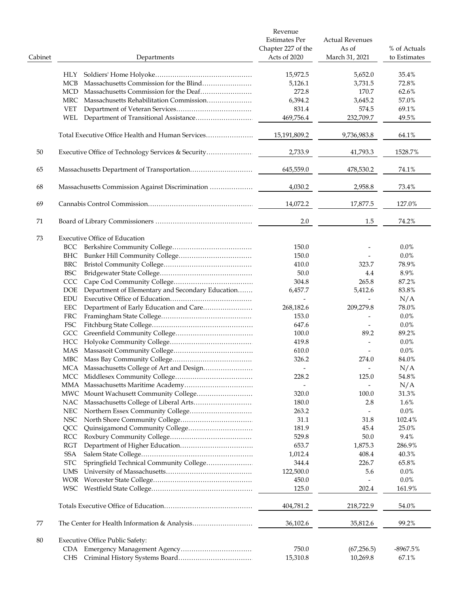|         |                                                         | Revenue<br><b>Estimates Per</b><br>Chapter 227 of the | <b>Actual Revenues</b><br>As of | % of Actuals   |
|---------|---------------------------------------------------------|-------------------------------------------------------|---------------------------------|----------------|
| Cabinet | Departments                                             | Acts of 2020                                          | March 31, 2021                  | to Estimates   |
|         | HLY                                                     | 15,972.5                                              | 5,652.0                         | 35.4%          |
|         | Massachusetts Commission for the Blind<br>MCB           | 5,126.1                                               | 3,731.5                         | 72.8%          |
|         | Massachusetts Commission for the Deaf<br>MCD            | 272.8                                                 | 170.7                           | 62.6%          |
|         | Massachusetts Rehabilitation Commission<br>MRC          | 6,394.2                                               | 3,645.2                         | 57.0%          |
|         |                                                         | 831.4                                                 |                                 |                |
|         | <b>VET</b>                                              | 469,756.4                                             | 574.5<br>232,709.7              | 69.1%<br>49.5% |
|         | WEL                                                     |                                                       |                                 |                |
|         | Total Executive Office Health and Human Services        | 15,191,809.2                                          | 9,736,983.8                     | 64.1%          |
| 50      | Executive Office of Technology Services & Security      | 2,733.9                                               | 41,793.3                        | 1528.7%        |
| 65      |                                                         | 645,559.0                                             | 478,530.2                       | 74.1%          |
| 68      |                                                         | 4,030.2                                               | 2,958.8                         | 73.4%          |
| 69      |                                                         | 14,072.2                                              | 17,877.5                        | 127.0%         |
| 71      |                                                         | 2.0                                                   | 1.5                             | 74.2%          |
|         |                                                         |                                                       |                                 |                |
| 73      | <b>Executive Office of Education</b>                    |                                                       |                                 |                |
|         | BCC -                                                   | 150.0                                                 |                                 | $0.0\%$        |
|         | BHC                                                     | 150.0                                                 |                                 | $0.0\%$        |
|         | BRC                                                     | 410.0                                                 | 323.7                           | 78.9%          |
|         | BSC                                                     | 50.0                                                  | 4.4                             | 8.9%           |
|         | CCC                                                     | 304.8                                                 | 265.8                           | 87.2%          |
|         | Department of Elementary and Secondary Education<br>DOE | 6,457.7                                               | 5,412.6                         | 83.8%          |
|         | EDU                                                     |                                                       | $\overline{\phantom{0}}$        | N/A            |
|         | Department of Early Education and Care<br>EEC           | 268,182.6                                             | 209,279.8                       | 78.0%          |
|         | FRC                                                     | 153.0                                                 | $\overline{a}$                  | $0.0\%$        |
|         | FSC                                                     | 647.6                                                 |                                 | $0.0\%$        |
|         | GCC                                                     | 100.0                                                 | 89.2                            | 89.2%          |
|         | HCC                                                     | 419.8                                                 |                                 | $0.0\%$        |
|         | MAS                                                     | 610.0                                                 |                                 | 0.0%           |
|         |                                                         | 326.2                                                 | 274.0                           | 84.0%          |
|         | MCA Massachusetts College of Art and Design             | $\overline{\phantom{a}}$                              | $\overline{\phantom{a}}$        | N/A            |
|         |                                                         | 228.2                                                 | 125.0                           | 54.8%          |
|         |                                                         |                                                       | $\overline{\phantom{a}}$        | N/A            |
|         | MWC Mount Wachusett Community College                   | 320.0                                                 | 100.0                           | 31.3%          |
|         |                                                         | 180.0                                                 | 2.8                             | 1.6%           |
|         | NEC                                                     | 263.2                                                 |                                 | $0.0\%$        |
|         | NSC                                                     | 31.1                                                  | 31.8                            | 102.4%         |
|         | QCC                                                     | 181.9                                                 | 45.4                            | 25.0%          |
|         | RCC                                                     | 529.8                                                 | 50.0                            | 9.4%           |
|         | RGT                                                     | 653.7                                                 | 1,875.3                         | 286.9%         |
|         | <b>SSA</b>                                              | 1,012.4                                               | 408.4                           | 40.3%          |
|         | Springfield Technical Community College<br><b>STC</b>   | 344.4                                                 | 226.7                           | 65.8%          |
|         |                                                         |                                                       |                                 |                |
|         | UMS                                                     | 122,500.0                                             | 5.6                             | $0.0\%$        |
|         |                                                         | 450.0                                                 |                                 | $0.0\%$        |
|         |                                                         | 125.0                                                 | 202.4                           | 161.9%         |
|         |                                                         | 404,781.2                                             | 218,722.9                       | 54.0%          |
| 77      |                                                         | 36,102.6                                              | 35,812.6                        | 99.2%          |
| 80      | <b>Executive Office Public Safety:</b>                  |                                                       |                                 |                |
|         |                                                         | 750.0                                                 | (67, 256.5)                     | $-8967.5%$     |
|         | CHS                                                     | 15,310.8                                              | 10,269.8                        | 67.1%          |
|         |                                                         |                                                       |                                 |                |